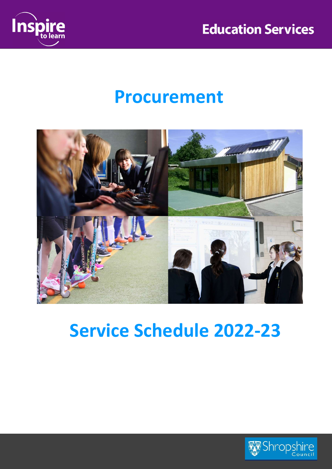



# Procurement



# Service Schedule 2022-23

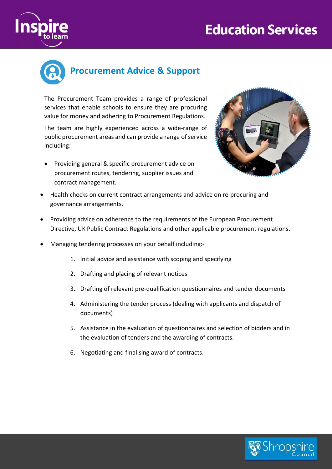## **Education Services**





The Procurement Team provides a range of professional services that enable schools to ensure they are procuring value for money and adhering to Procurement Regulations.

The team are highly experienced across a wide-range of public procurement areas and can provide a range of service including:

• Providing general & specific procurement advice on procurement routes, tendering, supplier issues and contract management.



- Health checks on current contract arrangements and advice on re-procuring and governance arrangements.
- Providing advice on adherence to the requirements of the European Procurement Directive, UK Public Contract Regulations and other applicable procurement regulations.
- Managing tendering processes on your behalf including:-
	- 1. Initial advice and assistance with scoping and specifying
	- 2. Drafting and placing of relevant notices
	- 3. Drafting of relevant pre-qualification questionnaires and tender documents
	- 4. Administering the tender process (dealing with applicants and dispatch of documents)
	- 5. Assistance in the evaluation of questionnaires and selection of bidders and in the evaluation of tenders and the awarding of contracts.
	- 6. Negotiating and finalising award of contracts.